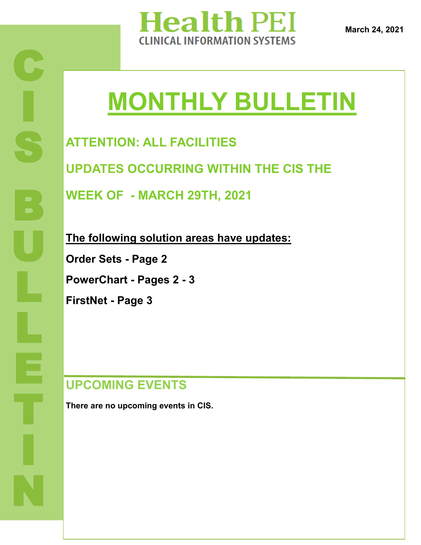

**March 24, 2021**

# **MONTHLY BULLETIN**

**ATTENTION: ALL FACILITIES**

**UPDATES OCCURRING WITHIN THE CIS THE** 

**WEEK OF - MARCH 29TH, 2021**

**The following solution areas have updates:**

**Order Sets - Page 2**

**PowerChart - Pages 2 - 3**

**FirstNet - Page 3**

### **UPCOMING EVENTS**

**There are no upcoming events in CIS.**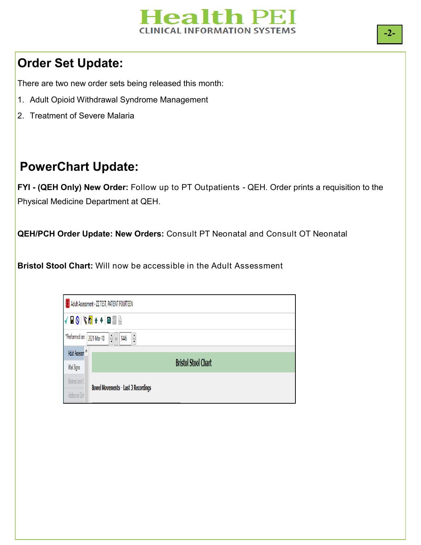

### **Order Set Update:**

There are two new order sets being released this month:

- 1. Adult Opioid Withdrawal Syndrome Management
- 2. Treatment of Severe Malaria

## **PowerChart Update:**

**FYI - (QEH Only) New Order:** Follow up to PT Outpatients - QEH. Order prints a requisition to the Physical Medicine Department at QEH.

**QEH/PCH Order Update: New Orders:** Consult PT Neonatal and Consult OT Neonatal

**Bristol Stool Chart:** Will now be accessible in the Adult Assessment

| <b>E</b> Adult Assessment - ZZ TEST, PATIENT FOURTEEN |                                                                                      |                                            |  |
|-------------------------------------------------------|--------------------------------------------------------------------------------------|--------------------------------------------|--|
|                                                       | ▎▎▊◔▏▓◙▗▗▏่่■▩░                                                                      |                                            |  |
|                                                       | *Performed on: 2021-Mar-10<br>$\frac{1}{\sqrt{2}}$ v<br>$\frac{1}{\sqrt{2}}$<br>1446 |                                            |  |
|                                                       | Adult Assessm <sup>A</sup>                                                           |                                            |  |
|                                                       |                                                                                      |                                            |  |
|                                                       | Vital Signs                                                                          | <b>Bristol Stool Chart</b>                 |  |
|                                                       | Bilateral and C                                                                      | <b>Bowel Movements - Last 3 Recordings</b> |  |
|                                                       | Additional Girth                                                                     |                                            |  |